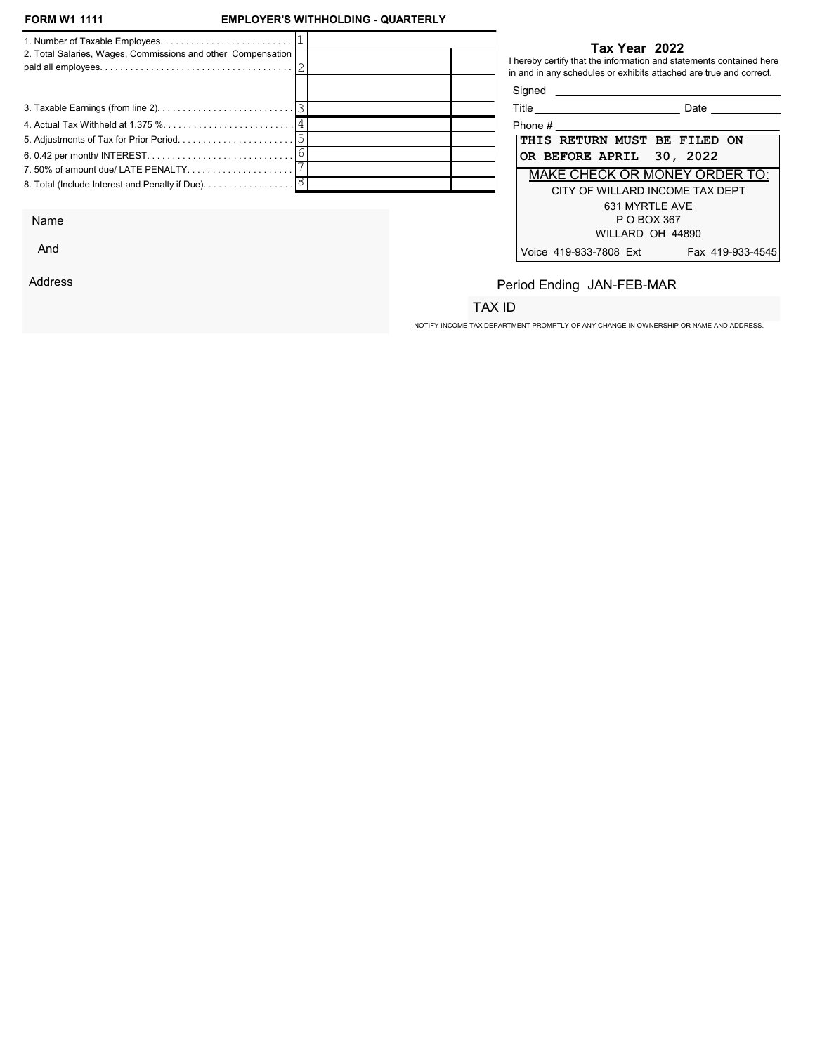### **EMPLOYER'S WITHHOLDING - QUARTERLY**

| 2. Total Salaries, Wages, Commissions and other Compensation                  | Tax Year 2022<br>I hereby certify that the information and statements contained here<br>in and in any schedules or exhibits attached are true and correct. |
|-------------------------------------------------------------------------------|------------------------------------------------------------------------------------------------------------------------------------------------------------|
|                                                                               |                                                                                                                                                            |
|                                                                               | Title _____________________________<br>Date                                                                                                                |
|                                                                               |                                                                                                                                                            |
|                                                                               | THIS RETURN MUST BE FILED ON                                                                                                                               |
|                                                                               | OR BEFORE APRIL 30, 2022                                                                                                                                   |
| 7.50% of amount due/ LATE PENALTY                                             | MAKE CHECK OR MONEY ORDER TO:                                                                                                                              |
| 8. Total (Include Interest and Penalty if Due). $\ldots \ldots \ldots \ldots$ | CITY OF WILLARD INCOME TAX DEPT<br>631 MYRTLE AVE                                                                                                          |

Name

And

Address

#### Tax Year 2022

| Title<br>Date                              |  |  |  |  |  |
|--------------------------------------------|--|--|--|--|--|
| Phone #                                    |  |  |  |  |  |
| THIS RETURN MUST BE FILED ON               |  |  |  |  |  |
| OR BEFORE APRIL 30, 2022                   |  |  |  |  |  |
| MAKE CHECK OR MONEY ORDER TO:              |  |  |  |  |  |
| CITY OF WILLARD INCOME TAX DEPT            |  |  |  |  |  |
| 631 MYRTLE AVE                             |  |  |  |  |  |
| P O BOX 367                                |  |  |  |  |  |
| WILLARD OH 44890                           |  |  |  |  |  |
| Voice 419-933-7808 Ext<br>Fax 419-933-4545 |  |  |  |  |  |

# Period Ending JAN-FEB-MAR

## TAX ID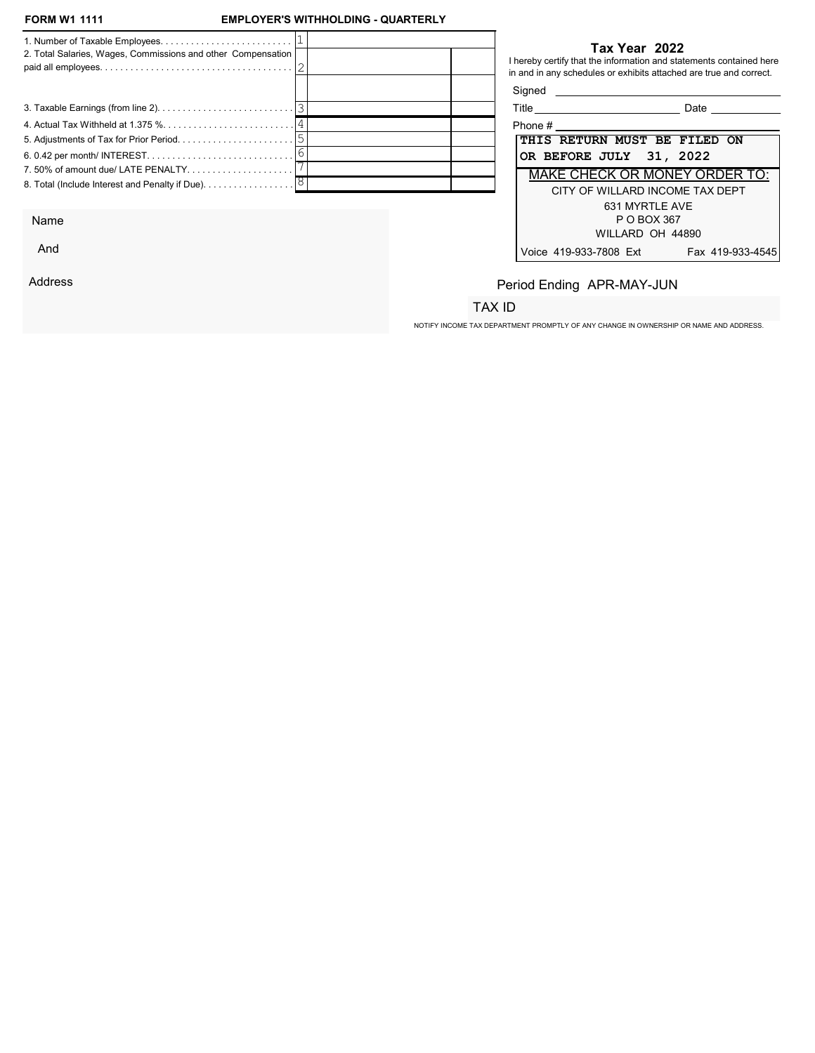### **EMPLOYER'S WITHHOLDING - QUARTERLY**

| 2. Total Salaries, Wages, Commissions and other Compensation                  | Tax Year 2022<br>I hereby certify that the information and statements contained here<br>in and in any schedules or exhibits attached are true and correct. |
|-------------------------------------------------------------------------------|------------------------------------------------------------------------------------------------------------------------------------------------------------|
|                                                                               |                                                                                                                                                            |
|                                                                               | Title _____________________________<br>Date                                                                                                                |
|                                                                               |                                                                                                                                                            |
|                                                                               | THIS RETURN MUST BE FILED ON                                                                                                                               |
|                                                                               | OR BEFORE JULY 31, 2022                                                                                                                                    |
| 7.50% of amount due/ LATE PENALTY                                             | MAKE CHECK OR MONEY ORDER TO:                                                                                                                              |
| 8. Total (Include Interest and Penalty if Due). $\ldots \ldots \ldots \ldots$ | CITY OF WILLARD INCOME TAX DEPT<br>631 MYRTLE AVE                                                                                                          |

Name

And

Address

#### Tax Year 2022

| Title                           | Date             |  |
|---------------------------------|------------------|--|
| Phone #                         |                  |  |
| THIS RETURN MUST BE FILED ON    |                  |  |
| OR BEFORE JULY 31, 2022         |                  |  |
| MAKE CHECK OR MONEY ORDER TO:   |                  |  |
| CITY OF WILLARD INCOME TAX DEPT |                  |  |
| 631 MYRTLE AVE                  |                  |  |
| P O BOX 367                     |                  |  |
| WILLARD OH 44890                |                  |  |
| Voice 419-933-7808 Ext          | Fax 419-933-4545 |  |

# Period Ending APR-MAY-JUN

## TAX ID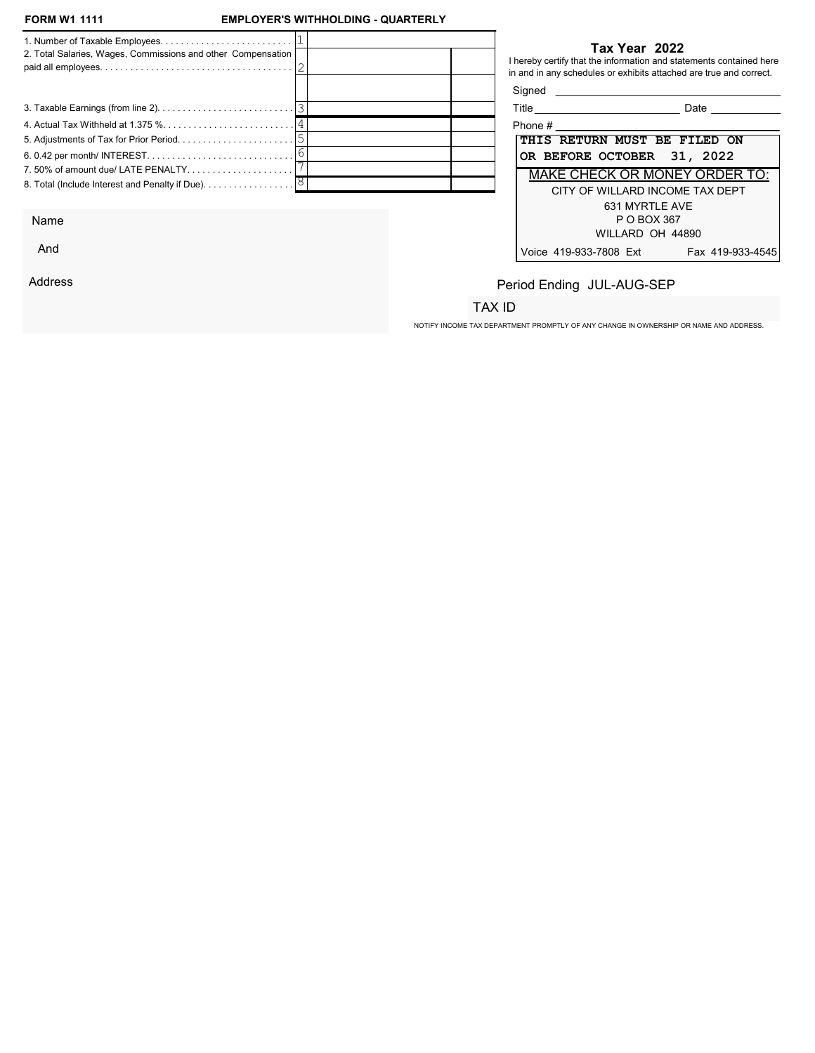### **EMPLOYER'S WITHHOLDING - QUARTERLY**

| 2. Total Salaries, Wages, Commissions and other Compensation |  | Tax Year 2022<br>I hereby certify that the information and statements contained here<br>in and in any schedules or exhibits attached are true and correct.<br>Signed |                                                                                                                                                                                                                                     |
|--------------------------------------------------------------|--|----------------------------------------------------------------------------------------------------------------------------------------------------------------------|-------------------------------------------------------------------------------------------------------------------------------------------------------------------------------------------------------------------------------------|
|                                                              |  |                                                                                                                                                                      |                                                                                                                                                                                                                                     |
|                                                              |  |                                                                                                                                                                      | <b>Date</b> the control of the control of the control of the control of the control of the control of the control of the control of the control of the control of the control of the control of the control of the control of the c |
|                                                              |  | Phone $#$                                                                                                                                                            |                                                                                                                                                                                                                                     |
|                                                              |  | THIS RETURN MUST BE FILED ON                                                                                                                                         |                                                                                                                                                                                                                                     |
|                                                              |  | OR BEFORE OCTOBER 31, 2022                                                                                                                                           |                                                                                                                                                                                                                                     |
| 7.50% of amount due/LATE PENALTY                             |  | MAKE CHECK OR MONEY ORDER TO:                                                                                                                                        |                                                                                                                                                                                                                                     |
|                                                              |  | CITY OF WILLARD INCOME TAX DEPT<br>631 MYRTLE AVE                                                                                                                    |                                                                                                                                                                                                                                     |
|                                                              |  |                                                                                                                                                                      |                                                                                                                                                                                                                                     |

Name

And

Address

#### Tax Year 2022

| Title                                | Date             |
|--------------------------------------|------------------|
| Phone #                              |                  |
| THIS RETURN MUST BE FILED ON         |                  |
| OR BEFORE OCTOBER 31, 2022           |                  |
| <b>MAKE CHECK OR MONEY ORDER TO:</b> |                  |
| CITY OF WILLARD INCOME TAX DEPT      |                  |
| 631 MYRTI F AVF                      |                  |
| P O BOX 367                          |                  |
| WILLARD OH 44890                     |                  |
| Voice 419-933-7808 Ext               | Fax 419-933-4545 |

# Period Ending JUL-AUG-SEP

## TAX ID